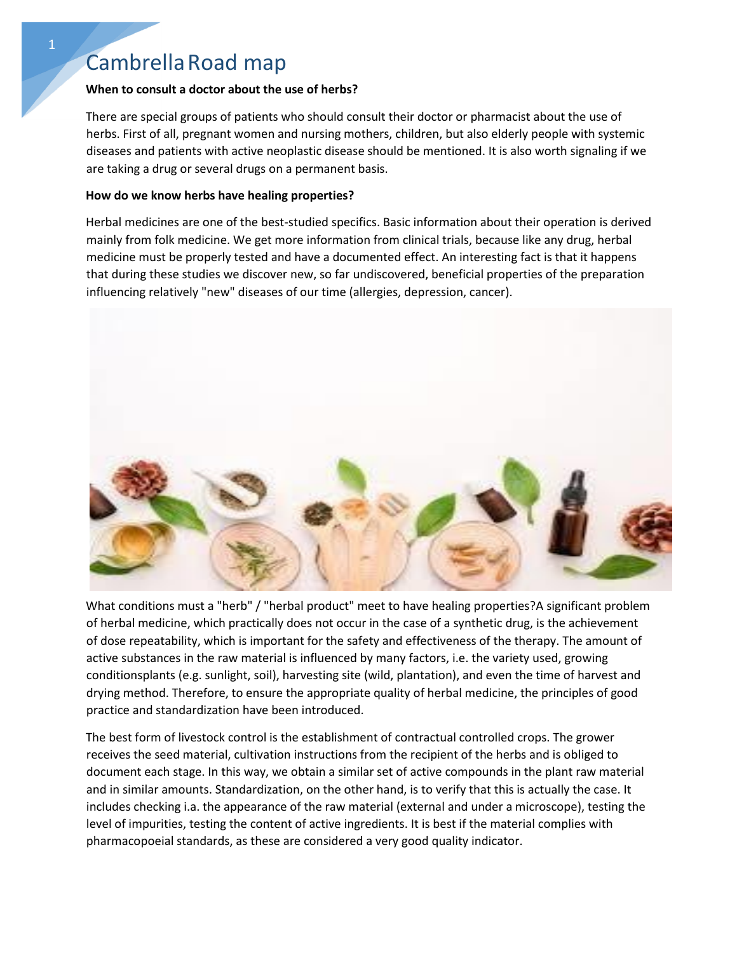## Cambrella Road map

## **When to consult a doctor about the use of herbs?**

There are special groups of patients who should consult their doctor or pharmacist about the use of herbs. First of all, pregnant women and nursing mothers, children, but also elderly people with systemic diseases and patients with active neoplastic disease should be mentioned. It is also worth signaling if we are taking a drug or several drugs on a permanent basis.

## **How do we know herbs have healing properties?**

Herbal medicines are one of the best-studied specifics. Basic information about their operation is derived mainly from folk medicine. We get more information from clinical trials, because like any drug, herbal medicine must be properly tested and have a documented effect. An interesting fact is that it happens that during these studies we discover new, so far undiscovered, beneficial properties of the preparation influencing relatively "new" diseases of our time (allergies, depression, cancer).



What conditions must a "herb" / "herbal product" meet to have healing properties?A significant problem of herbal medicine, which practically does not occur in the case of a synthetic drug, is the achievement of dose repeatability, which is important for the safety and effectiveness of the therapy. The amount of active substances in the raw material is influenced by many factors, i.e. the variety used, growing conditionsplants (e.g. sunlight, soil), harvesting site (wild, plantation), and even the time of harvest and drying method. Therefore, to ensure the appropriate quality of herbal medicine, the principles of good practice and standardization have been introduced.

The best form of livestock control is the establishment of contractual controlled crops. The grower receives the seed material, cultivation instructions from the recipient of the herbs and is obliged to document each stage. In this way, we obtain a similar set of active compounds in the plant raw material and in similar amounts. Standardization, on the other hand, is to verify that this is actually the case. It includes checking i.a. the appearance of the raw material (external and under a microscope), testing the level of impurities, testing the content of active ingredients. It is best if the material complies with pharmacopoeial standards, as these are considered a very good quality indicator.